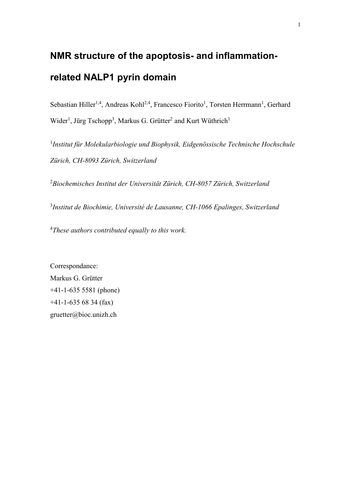# **NMR structure of the apoptosis- and inflammationrelated NALP1 pyrin domain**

Sebastian Hiller<sup>1,4</sup>, Andreas Kohl<sup>2,4</sup>, Francesco Fiorito<sup>1</sup>, Torsten Herrmann<sup>1</sup>, Gerhard  $Wider<sup>1</sup>$ , Jürg Tschopp<sup>3</sup>, Markus G. Grütter<sup>2</sup> and Kurt Wüthrich<sup>1</sup>

<sup>1</sup>Institut für Molekularbiologie und Biophysik, Eidgenössische Technische Hochschule *Zürich, CH-8093 Zürich, Switzerland* 

2 *Biochemisches Institut der Universität Zürich, CH-8057 Zürich, Switzerland* 

3 *Institut de Biochimie, Université de Lausanne, CH-1066 Epalinges, Switzerland* 

4 *These authors contributed equally to this work.* 

Correspondance: Markus G. Grütter +41-1-635 5581 (phone) +41-1-635 68 34 (fax) gruetter@bioc.unizh.ch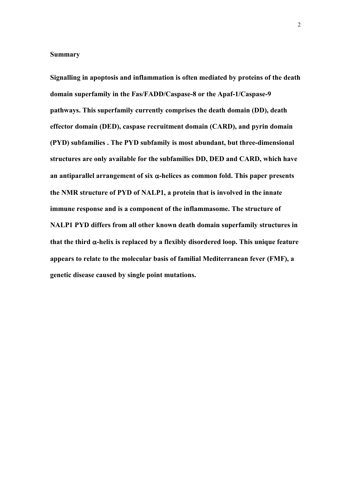#### **Summary**

**Signalling in apoptosis and inflammation is often mediated by proteins of the death domain superfamily in the Fas/FADD/Caspase-8 or the Apaf-1/Caspase-9 pathways. This superfamily currently comprises the death domain (DD), death effector domain (DED), caspase recruitment domain (CARD), and pyrin domain (PYD) subfamilies . The PYD subfamily is most abundant, but three-dimensional structures are only available for the subfamilies DD, DED and CARD, which have an antiparallel arrangement of six** α**-helices as common fold. This paper presents the NMR structure of PYD of NALP1, a protein that is involved in the innate immune response and is a component of the inflammasome. The structure of NALP1 PYD differs from all other known death domain superfamily structures in that the third** α**-helix is replaced by a flexibly disordered loop. This unique feature appears to relate to the molecular basis of familial Mediterranean fever (FMF), a genetic disease caused by single point mutations.**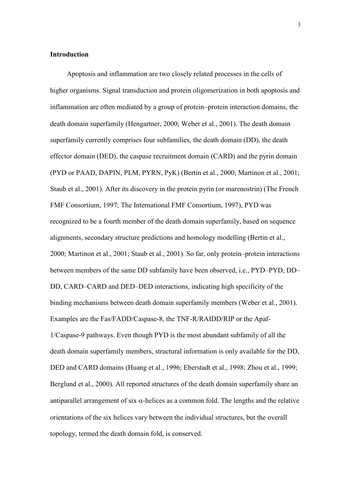## **Introduction**

Apoptosis and inflammation are two closely related processes in the cells of higher organisms. Signal transduction and protein oligomerization in both apoptosis and inflammation are often mediated by a group of protein−protein interaction domains, the death domain superfamily (Hengartner, 2000; Weber et al., 2001). The death domain superfamily currently comprises four subfamilies, the death domain (DD), the death effector domain (DED), the caspase recruitment domain (CARD) and the pyrin domain (PYD or PAAD, DAPIN, PLM, PYRN, PyK) (Bertin et al., 2000; Martinon et al., 2001; Staub et al., 2001). After its discovery in the protein pyrin (or marenostrin) (The French FMF Consortium, 1997; The International FMF Consortium, 1997), PYD was recognized to be a fourth member of the death domain superfamily, based on sequence alignments, secondary structure predictions and homology modelling (Bertin et al., 2000; Martinon et al., 2001; Staub et al., 2001). So far, only protein–protein interactions between members of the same DD subfamily have been observed, i.e., PYD–PYD, DD– DD, CARD–CARD and DED–DED interactions, indicating high specificity of the binding mechanisms between death domain superfamily members (Weber et al., 2001). Examples are the Fas/FADD/Caspase-8, the TNF-R/RAIDD/RIP or the Apaf-1/Caspase-9 pathways. Even though PYD is the most abundant subfamily of all the death domain superfamily members, structural information is only available for the DD, DED and CARD domains (Huang et al., 1996; Eberstadt et al., 1998; Zhou et al., 1999; Berglund et al., 2000). All reported structures of the death domain superfamily share an antiparallel arrangement of six  $\alpha$ -helices as a common fold. The lengths and the relative orientations of the six helices vary between the individual structures, but the overall topology, termed the death domain fold, is conserved.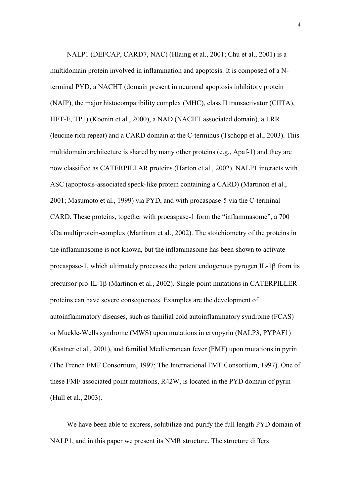NALP1 (DEFCAP, CARD7, NAC) (Hlaing et al., 2001; Chu et al., 2001) is a multidomain protein involved in inflammation and apoptosis. It is composed of a Nterminal PYD, a NACHT (domain present in neuronal apoptosis inhibitory protein (NAIP), the major histocompatibility complex (MHC), class II transactivator (CIITA), HET-E, TP1) (Koonin et al., 2000), a NAD (NACHT associated domain), a LRR (leucine rich repeat) and a CARD domain at the C-terminus (Tschopp et al., 2003). This multidomain architecture is shared by many other proteins (e.g., Apaf-1) and they are now classified as CATERPILLAR proteins (Harton et al., 2002). NALP1 interacts with ASC (apoptosis-associated speck-like protein containing a CARD) (Martinon et al., 2001; Masumoto et al., 1999) via PYD, and with procaspase-5 via the C-terminal CARD. These proteins, together with procaspase-1 form the "inflammasome", a 700 kDa multiprotein-complex (Martinon et al., 2002). The stoichiometry of the proteins in the inflammasome is not known, but the inflammasome has been shown to activate procaspase-1, which ultimately processes the potent endogenous pyrogen IL-1β from its precursor pro-IL-1β (Μartinon et al., 2002). Single-point mutations in CATERPILLER proteins can have severe consequences. Examples are the development of autoinflammatory diseases, such as familial cold autoinflammatory syndrome (FCAS) or Muckle-Wells syndrome (MWS) upon mutations in cryopyrin (NALP3, PYPAF1) (Kastner et al., 2001), and familial Mediterranean fever (FMF) upon mutations in pyrin (The French FMF Consortium, 1997; The International FMF Consortium, 1997). One of these FMF associated point mutations, R42W, is located in the PYD domain of pyrin (Hull et al., 2003).

We have been able to express, solubilize and purify the full length PYD domain of NALP1, and in this paper we present its NMR structure. The structure differs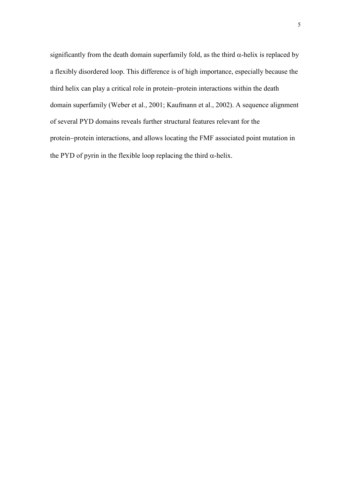significantly from the death domain superfamily fold, as the third  $\alpha$ -helix is replaced by a flexibly disordered loop. This difference is of high importance, especially because the third helix can play a critical role in protein−protein interactions within the death domain superfamily (Weber et al., 2001; Kaufmann et al., 2002). A sequence alignment of several PYD domains reveals further structural features relevant for the protein−protein interactions, and allows locating the FMF associated point mutation in the PYD of pyrin in the flexible loop replacing the third  $\alpha$ -helix.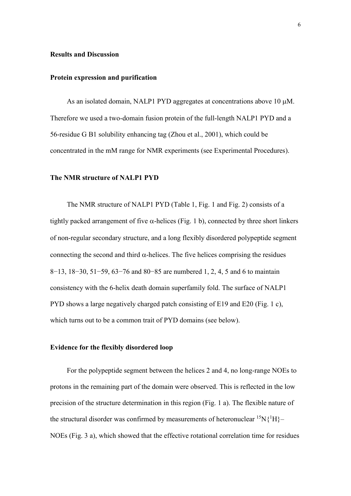#### **Results and Discussion**

#### **Protein expression and purification**

As an isolated domain, NALP1 PYD aggregates at concentrations above 10  $\mu$ M. Therefore we used a two-domain fusion protein of the full-length NALP1 PYD and a 56-residue G B1 solubility enhancing tag (Zhou et al., 2001), which could be concentrated in the mM range for NMR experiments (see Experimental Procedures).

### **The NMR structure of NALP1 PYD**

The NMR structure of NALP1 PYD (Table 1, Fig. 1 and Fig. 2) consists of a tightly packed arrangement of five  $\alpha$ -helices (Fig. 1 b), connected by three short linkers of non-regular secondary structure, and a long flexibly disordered polypeptide segment connecting the second and third  $\alpha$ -helices. The five helices comprising the residues 8−13, 18−30, 51−59, 63−76 and 80−85 are numbered 1, 2, 4, 5 and 6 to maintain consistency with the 6-helix death domain superfamily fold. The surface of NALP1 PYD shows a large negatively charged patch consisting of E19 and E20 (Fig. 1 c), which turns out to be a common trait of PYD domains (see below).

#### **Evidence for the flexibly disordered loop**

For the polypeptide segment between the helices 2 and 4, no long-range NOEs to protons in the remaining part of the domain were observed. This is reflected in the low precision of the structure determination in this region (Fig. 1 a). The flexible nature of the structural disorder was confirmed by measurements of heteronuclear  ${}^{15}N\{{}^{1}H\}$ NOEs (Fig. 3 a), which showed that the effective rotational correlation time for residues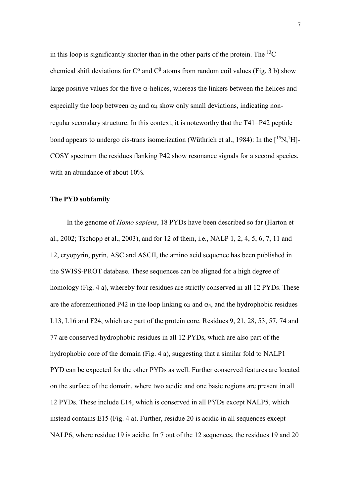in this loop is significantly shorter than in the other parts of the protein. The  ${}^{13}C$ chemical shift deviations for  $C^{\alpha}$  and  $C^{\beta}$  atoms from random coil values (Fig. 3 b) show large positive values for the five  $\alpha$ -helices, whereas the linkers between the helices and especially the loop between  $\alpha_2$  and  $\alpha_4$  show only small deviations, indicating nonregular secondary structure. In this context, it is noteworthy that the T41−P42 peptide bond appears to undergo cis-trans isomerization (Wüthrich et al., 1984): In the  $[{}^{15}N,{}^{1}H]$ -COSY spectrum the residues flanking P42 show resonance signals for a second species, with an abundance of about 10%.

# **The PYD subfamily**

In the genome of *Homo sapiens*, 18 PYDs have been described so far (Harton et al., 2002; Tschopp et al., 2003), and for 12 of them, i.e., NALP 1, 2, 4, 5, 6, 7, 11 and 12, cryopyrin, pyrin, ASC and ASCII, the amino acid sequence has been published in the SWISS-PROT database. These sequences can be aligned for a high degree of homology (Fig. 4 a), whereby four residues are strictly conserved in all 12 PYDs. These are the aforementioned P42 in the loop linking  $\alpha_2$  and  $\alpha_4$ , and the hydrophobic residues L13, L16 and F24, which are part of the protein core. Residues 9, 21, 28, 53, 57, 74 and 77 are conserved hydrophobic residues in all 12 PYDs, which are also part of the hydrophobic core of the domain (Fig. 4 a), suggesting that a similar fold to NALP1 PYD can be expected for the other PYDs as well. Further conserved features are located on the surface of the domain, where two acidic and one basic regions are present in all 12 PYDs. These include E14, which is conserved in all PYDs except NALP5, which instead contains E15 (Fig. 4 a). Further, residue 20 is acidic in all sequences except NALP6, where residue 19 is acidic. In 7 out of the 12 sequences, the residues 19 and 20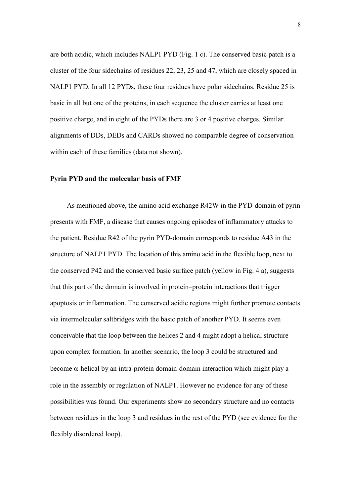are both acidic, which includes NALP1 PYD (Fig. 1 c). The conserved basic patch is a cluster of the four sidechains of residues 22, 23, 25 and 47, which are closely spaced in NALP1 PYD. In all 12 PYDs, these four residues have polar sidechains. Residue 25 is basic in all but one of the proteins, in each sequence the cluster carries at least one positive charge, and in eight of the PYDs there are 3 or 4 positive charges. Similar alignments of DDs, DEDs and CARDs showed no comparable degree of conservation within each of these families (data not shown).

#### **Pyrin PYD and the molecular basis of FMF**

As mentioned above, the amino acid exchange R42W in the PYD-domain of pyrin presents with FMF, a disease that causes ongoing episodes of inflammatory attacks to the patient. Residue R42 of the pyrin PYD-domain corresponds to residue A43 in the structure of NALP1 PYD. The location of this amino acid in the flexible loop, next to the conserved P42 and the conserved basic surface patch (yellow in Fig. 4 a), suggests that this part of the domain is involved in protein–protein interactions that trigger apoptosis or inflammation. The conserved acidic regions might further promote contacts via intermolecular saltbridges with the basic patch of another PYD. It seems even conceivable that the loop between the helices 2 and 4 might adopt a helical structure upon complex formation. In another scenario, the loop 3 could be structured and become  $\alpha$ -helical by an intra-protein domain-domain interaction which might play a role in the assembly or regulation of NALP1. However no evidence for any of these possibilities was found. Our experiments show no secondary structure and no contacts between residues in the loop 3 and residues in the rest of the PYD (see evidence for the flexibly disordered loop).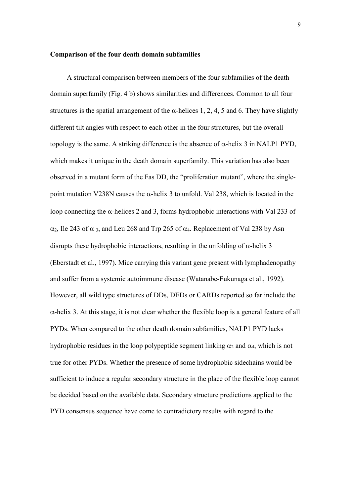#### **Comparison of the four death domain subfamilies**

A structural comparison between members of the four subfamilies of the death domain superfamily (Fig. 4 b) shows similarities and differences. Common to all four structures is the spatial arrangement of the  $\alpha$ -helices 1, 2, 4, 5 and 6. They have slightly different tilt angles with respect to each other in the four structures, but the overall topology is the same. A striking difference is the absence of  $α$ -helix 3 in NALP1 PYD, which makes it unique in the death domain superfamily. This variation has also been observed in a mutant form of the Fas DD, the "proliferation mutant", where the singlepoint mutation V238N causes the α-helix 3 to unfold. Val 238, which is located in the loop connecting the  $\alpha$ -helices 2 and 3, forms hydrophobic interactions with Val 233 of  $\alpha_2$ , Ile 243 of  $\alpha_3$ , and Leu 268 and Trp 265 of  $\alpha_4$ . Replacement of Val 238 by Asn disrupts these hydrophobic interactions, resulting in the unfolding of  $\alpha$ -helix 3 (Eberstadt et al., 1997). Mice carrying this variant gene present with lymphadenopathy and suffer from a systemic autoimmune disease (Watanabe-Fukunaga et al., 1992). However, all wild type structures of DDs, DEDs or CARDs reported so far include the α-helix 3. At this stage, it is not clear whether the flexible loop is a general feature of all PYDs. When compared to the other death domain subfamilies, NALP1 PYD lacks hydrophobic residues in the loop polypeptide segment linking  $\alpha_2$  and  $\alpha_4$ , which is not true for other PYDs. Whether the presence of some hydrophobic sidechains would be sufficient to induce a regular secondary structure in the place of the flexible loop cannot be decided based on the available data. Secondary structure predictions applied to the PYD consensus sequence have come to contradictory results with regard to the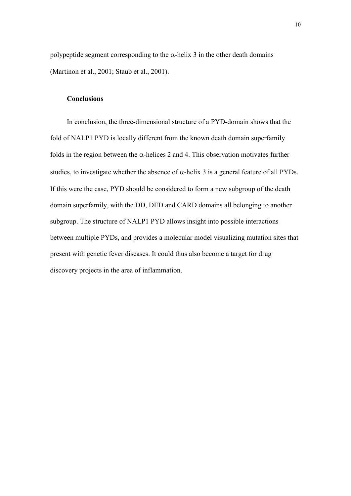polypeptide segment corresponding to the  $\alpha$ -helix 3 in the other death domains (Martinon et al., 2001; Staub et al., 2001).

# **Conclusions**

In conclusion, the three-dimensional structure of a PYD-domain shows that the fold of NALP1 PYD is locally different from the known death domain superfamily folds in the region between the  $\alpha$ -helices 2 and 4. This observation motivates further studies, to investigate whether the absence of  $\alpha$ -helix 3 is a general feature of all PYDs. If this were the case, PYD should be considered to form a new subgroup of the death domain superfamily, with the DD, DED and CARD domains all belonging to another subgroup. The structure of NALP1 PYD allows insight into possible interactions between multiple PYDs, and provides a molecular model visualizing mutation sites that present with genetic fever diseases. It could thus also become a target for drug discovery projects in the area of inflammation.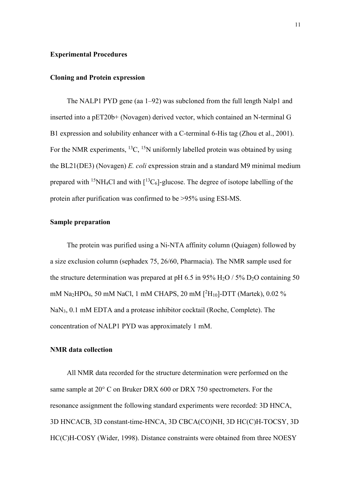#### **Experimental Procedures**

#### **Cloning and Protein expression**

The NALP1 PYD gene (aa 1–92) was subcloned from the full length Nalp1 and inserted into a pET20b+ (Novagen) derived vector, which contained an N-terminal G B1 expression and solubility enhancer with a C-terminal 6-His tag (Zhou et al., 2001). For the NMR experiments,  ${}^{13}C$ ,  ${}^{15}N$  uniformly labelled protein was obtained by using the BL21(DE3) (Novagen) *E. coli* expression strain and a standard M9 minimal medium prepared with <sup>15</sup>NH<sub>4</sub>Cl and with  $\lceil$ <sup>13</sup>C<sub>6</sub>]-glucose. The degree of isotope labelling of the protein after purification was confirmed to be >95% using ESI-MS.

# **Sample preparation**

The protein was purified using a Ni-NTA affinity column (Quiagen) followed by a size exclusion column (sephadex 75, 26/60, Pharmacia). The NMR sample used for the structure determination was prepared at pH 6.5 in 95% H<sub>2</sub>O / 5% D<sub>2</sub>O containing 50 mM Na2HPO4, 50 mM NaCl, 1 mM CHAPS, 20 mM [2 H10]-DTT (Martek), 0.02 % NaN3, 0.1 mM EDTA and a protease inhibitor cocktail (Roche, Complete). The concentration of NALP1 PYD was approximately 1 mM.

#### **NMR data collection**

All NMR data recorded for the structure determination were performed on the same sample at 20° C on Bruker DRX 600 or DRX 750 spectrometers. For the resonance assignment the following standard experiments were recorded: 3D HNCA, 3D HNCACB, 3D constant-time-HNCA, 3D CBCA(CO)NH, 3D HC(C)H-TOCSY, 3D HC(C)H-COSY (Wider, 1998). Distance constraints were obtained from three NOESY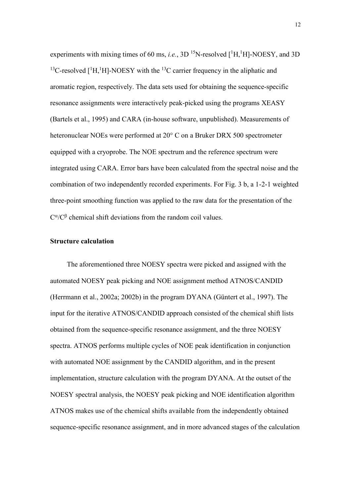experiments with mixing times of 60 ms, *i.e.*,  $3D<sup>15</sup>N$ -resolved  $[^1H, ^1H]$ -NOESY, and  $3D$ <sup>13</sup>C-resolved  $[$ <sup>1</sup>H,<sup>1</sup>H]-NOESY with the <sup>13</sup>C carrier frequency in the aliphatic and aromatic region, respectively. The data sets used for obtaining the sequence-specific resonance assignments were interactively peak-picked using the programs XEASY (Bartels et al., 1995) and CARA (in-house software, unpublished). Measurements of heteronuclear NOEs were performed at 20° C on a Bruker DRX 500 spectrometer equipped with a cryoprobe. The NOE spectrum and the reference spectrum were integrated using CARA. Error bars have been calculated from the spectral noise and the combination of two independently recorded experiments. For Fig. 3 b, a 1-2-1 weighted three-point smoothing function was applied to the raw data for the presentation of the  $C^{\alpha}/C^{\beta}$  chemical shift deviations from the random coil values.

# **Structure calculation**

The aforementioned three NOESY spectra were picked and assigned with the automated NOESY peak picking and NOE assignment method ATNOS/CANDID (Herrmann et al., 2002a; 2002b) in the program DYANA (Güntert et al., 1997). The input for the iterative ATNOS/CANDID approach consisted of the chemical shift lists obtained from the sequence-specific resonance assignment, and the three NOESY spectra. ATNOS performs multiple cycles of NOE peak identification in conjunction with automated NOE assignment by the CANDID algorithm, and in the present implementation, structure calculation with the program DYANA. At the outset of the NOESY spectral analysis, the NOESY peak picking and NOE identification algorithm ATNOS makes use of the chemical shifts available from the independently obtained sequence-specific resonance assignment, and in more advanced stages of the calculation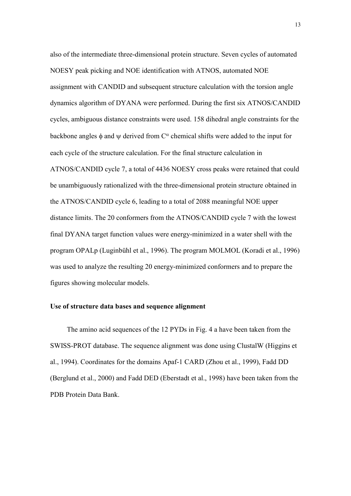also of the intermediate three-dimensional protein structure. Seven cycles of automated NOESY peak picking and NOE identification with ATNOS, automated NOE assignment with CANDID and subsequent structure calculation with the torsion angle dynamics algorithm of DYANA were performed. During the first six ATNOS/CANDID cycles, ambiguous distance constraints were used. 158 dihedral angle constraints for the backbone angles  $\phi$  and  $\psi$  derived from C<sup> $\alpha$ </sup> chemical shifts were added to the input for each cycle of the structure calculation. For the final structure calculation in ATNOS/CANDID cycle 7, a total of 4436 NOESY cross peaks were retained that could be unambiguously rationalized with the three-dimensional protein structure obtained in the ATNOS/CANDID cycle 6, leading to a total of 2088 meaningful NOE upper distance limits. The 20 conformers from the ATNOS/CANDID cycle 7 with the lowest final DYANA target function values were energy-minimized in a water shell with the program OPALp (Luginbühl et al., 1996). The program MOLMOL (Koradi et al., 1996) was used to analyze the resulting 20 energy-minimized conformers and to prepare the figures showing molecular models.

## **Use of structure data bases and sequence alignment**

The amino acid sequences of the 12 PYDs in Fig. 4 a have been taken from the SWISS-PROT database. The sequence alignment was done using ClustalW (Higgins et al., 1994). Coordinates for the domains Apaf-1 CARD (Zhou et al., 1999), Fadd DD (Berglund et al., 2000) and Fadd DED (Eberstadt et al., 1998) have been taken from the PDB Protein Data Bank.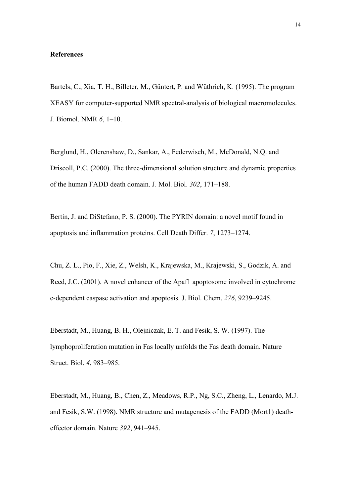#### **References**

Bartels, C., Xia, T. H., Billeter, M., Güntert, P. and Wüthrich, K. (1995). The program XEASY for computer-supported NMR spectral-analysis of biological macromolecules. J. Biomol. NMR *6*, 1–10.

Berglund, H., Olerenshaw, D., Sankar, A., Federwisch, M., McDonald, N.Q. and Driscoll, P.C. (2000). The three-dimensional solution structure and dynamic properties of the human FADD death domain. J. Mol. Biol. *302*, 171–188.

Bertin, J. and DiStefano, P. S. (2000). The PYRIN domain: a novel motif found in apoptosis and inflammation proteins. Cell Death Differ. *7*, 1273–1274.

Chu, Z. L., Pio, F., Xie, Z., Welsh, K., Krajewska, M., Krajewski, S., Godzik, A. and Reed, J.C. (2001). A novel enhancer of the Apaf1 apoptosome involved in cytochrome c-dependent caspase activation and apoptosis. J. Biol. Chem. *276*, 9239–9245.

Eberstadt, M., Huang, B. H., Olejniczak, E. T. and Fesik, S. W. (1997). The lymphoproliferation mutation in Fas locally unfolds the Fas death domain. Nature Struct. Biol. *4*, 983–985.

Eberstadt, M., Huang, B., Chen, Z., Meadows, R.P., Ng, S.C., Zheng, L., Lenardo, M.J. and Fesik, S.W. (1998). NMR structure and mutagenesis of the FADD (Mort1) deatheffector domain. Nature *392*, 941–945.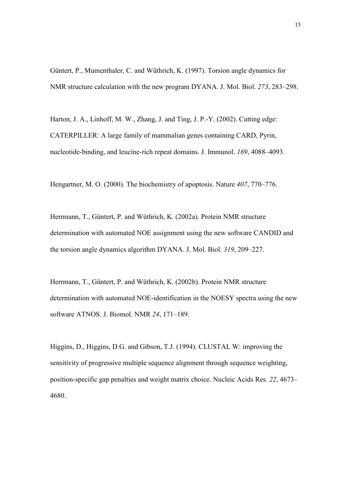Güntert, P., Mumenthaler, C. and Wüthrich, K. (1997). Torsion angle dynamics for NMR structure calculation with the new program DYANA. J. Mol. Biol. *273*, 283–298.

Harton, J. A., Linhoff, M. W., Zhang, J. and Ting, J. P.-Y. (2002). Cutting edge: CATERPILLER: A large family of mammalian genes containing CARD, Pyrin, nucleotide-binding, and leucine-rich repeat domains. J. Immunol. *169*, 4088–4093.

Hengartner, M. O. (2000). The biochemistry of apoptosis. Nature *407*, 770–776.

Herrmann, T., Güntert, P. and Wüthrich, K. (2002a). Protein NMR structure determination with automated NOE assignment using the new software CANDID and the torsion angle dynamics algorithm DYANA. J. Mol. Biol. *319*, 209–227.

Herrmann, T., Güntert, P. and Wüthrich, K. (2002b). Protein NMR structure determination with automated NOE-identification in the NOESY spectra using the new software ATNOS. J. Biomol. NMR *24*, 171–189.

Higgins, D., Higgins, D.G. and Gibson, T.J. (1994). CLUSTAL W: improving the sensitivity of progressive multiple sequence alignment through sequence weighting, position-specific gap penalties and weight matrix choice. Nucleic Acids Res. *22*, 4673– 4680.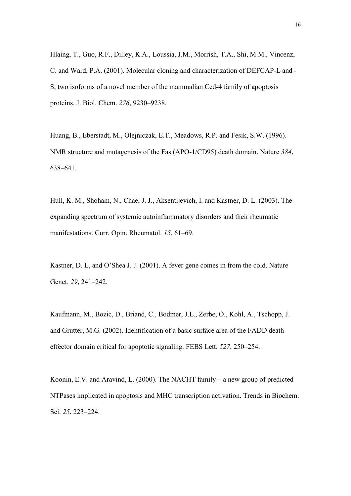Hlaing, T., Guo, R.F., Dilley, K.A., Loussia, J.M., Morrish, T.A., Shi, M.M., Vincenz, C. and Ward, P.A. (2001). Molecular cloning and characterization of DEFCAP-L and - S, two isoforms of a novel member of the mammalian Ced-4 family of apoptosis proteins. J. Biol. Chem. *276*, 9230–9238.

Huang, B., Eberstadt, M., Olejniczak, E.T., Meadows, R.P. and Fesik, S.W. (1996). NMR structure and mutagenesis of the Fas (APO-1/CD95) death domain. Nature *384*, 638–641.

Hull, K. M., Shoham, N., Chae, J. J., Aksentijevich, I. and Kastner, D. L. (2003). The expanding spectrum of systemic autoinflammatory disorders and their rheumatic manifestations. Curr. Opin. Rheumatol. *15*, 61–69.

Kastner, D. L, and O'Shea J. J. (2001). A fever gene comes in from the cold. Nature Genet. *29*, 241–242.

Kaufmann, M., Bozic, D., Briand, C., Bodmer, J.L., Zerbe, O., Kohl, A., Tschopp, J. and Grutter, M.G. (2002). Identification of a basic surface area of the FADD death effector domain critical for apoptotic signaling. FEBS Lett. *527*, 250–254.

Koonin, E.V. and Aravind, L. (2000). The NACHT family – a new group of predicted NTPases implicated in apoptosis and MHC transcription activation. Trends in Biochem. Sci. *25*, 223–224.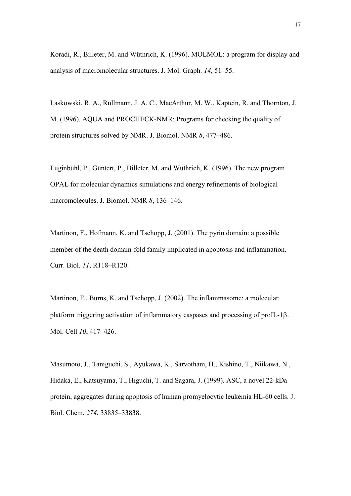Koradi, R., Billeter, M. and Wüthrich, K. (1996). MOLMOL: a program for display and analysis of macromolecular structures. J. Mol. Graph. *14*, 51–55.

Laskowski, R. A., Rullmann, J. A. C., MacArthur, M. W., Kaptein, R. and Thornton, J. M. (1996). AQUA and PROCHECK-NMR: Programs for checking the quality of protein structures solved by NMR. J. Biomol. NMR *8*, 477–486.

Luginbühl, P., Güntert, P., Billeter, M. and Wüthrich, K. (1996). The new program OPAL for molecular dynamics simulations and energy refinements of biological macromolecules. J. Biomol. NMR *8*, 136–146.

Martinon, F., Hofmann, K. and Tschopp, J. (2001). The pyrin domain: a possible member of the death domain-fold family implicated in apoptosis and inflammation. Curr. Biol. *11*, R118–R120.

Martinon, F., Burns, K. and Tschopp, J. (2002). The inflammasome: a molecular platform triggering activation of inflammatory caspases and processing of proIL-1β. Mol. Cell *10*, 417–426.

Masumoto, J., Taniguchi, S., Ayukawa, K., Sarvotham, H., Kishino, T., Niikawa, N., Hidaka, E., Katsuyama, T., Higuchi, T. and Sagara, J. (1999). ASC, a novel 22-kDa protein, aggregates during apoptosis of human promyelocytic leukemia HL-60 cells. J. Biol. Chem. *274*, 33835–33838.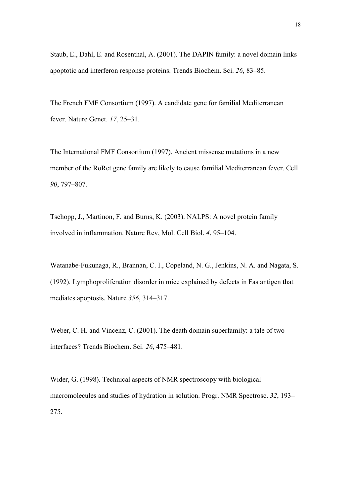Staub, E., Dahl, E. and Rosenthal, A. (2001). The DAPIN family: a novel domain links apoptotic and interferon response proteins. Trends Biochem. Sci. *26*, 83–85.

The French FMF Consortium (1997). A candidate gene for familial Mediterranean fever. Nature Genet. *17*, 25–31.

The International FMF Consortium (1997). Ancient missense mutations in a new member of the RoRet gene family are likely to cause familial Mediterranean fever. Cell *90*, 797–807.

Tschopp, J., Martinon, F. and Burns, K. (2003). NALPS: A novel protein family involved in inflammation. Nature Rev, Mol. Cell Biol. *4*, 95–104.

Watanabe-Fukunaga, R., Brannan, C. I., Copeland, N. G., Jenkins, N. A. and Nagata, S. (1992). Lymphoproliferation disorder in mice explained by defects in Fas antigen that mediates apoptosis. Nature *356*, 314–317.

Weber, C. H. and Vincenz, C. (2001). The death domain superfamily: a tale of two interfaces? Trends Biochem. Sci. *26*, 475–481.

Wider, G. (1998). Technical aspects of NMR spectroscopy with biological macromolecules and studies of hydration in solution. Progr. NMR Spectrosc. *32*, 193– 275.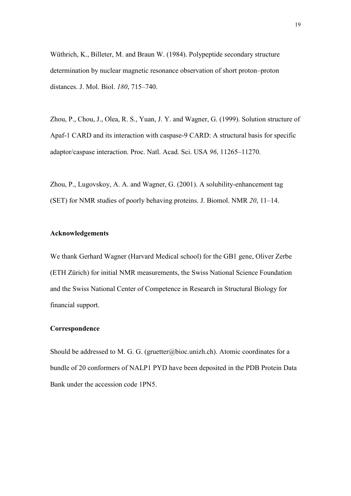Wüthrich, K., Billeter, M. and Braun W. (1984). Polypeptide secondary structure determination by nuclear magnetic resonance observation of short proton–proton distances. J. Mol. Biol. *180*, 715–740.

Zhou, P., Chou, J., Olea, R. S., Yuan, J. Y. and Wagner, G. (1999). Solution structure of Apaf-1 CARD and its interaction with caspase-9 CARD: A structural basis for specific adaptor/caspase interaction. Proc. Natl. Acad. Sci. USA *96*, 11265–11270.

Zhou, P., Lugovskoy, A. A. and Wagner, G. (2001). A solubility-enhancement tag (SET) for NMR studies of poorly behaving proteins. J. Biomol. NMR *20*, 11–14.

#### **Acknowledgements**

We thank Gerhard Wagner (Harvard Medical school) for the GB1 gene, Oliver Zerbe (ETH Zürich) for initial NMR measurements, the Swiss National Science Foundation and the Swiss National Center of Competence in Research in Structural Biology for financial support.

# **Correspondence**

Should be addressed to M. G. G. (gruetter@bioc.unizh.ch). Atomic coordinates for a bundle of 20 conformers of NALP1 PYD have been deposited in the PDB Protein Data Bank under the accession code 1PN5.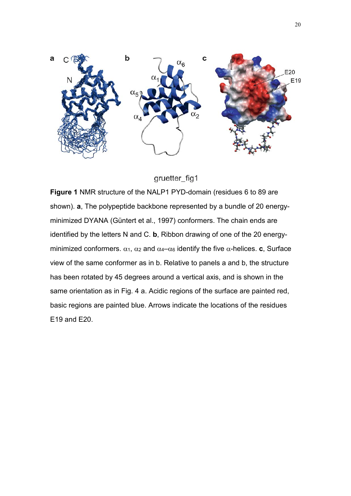

# gruetter\_fig1

**Figure 1** NMR structure of the NALP1 PYD-domain (residues 6 to 89 are shown). **a**, The polypeptide backbone represented by a bundle of 20 energyminimized DYANA (Güntert et al., 1997) conformers. The chain ends are identified by the letters N and C. **b**, Ribbon drawing of one of the 20 energyminimized conformers.  $\alpha_1$ ,  $\alpha_2$  and  $\alpha_4-\alpha_6$  identify the five  $\alpha$ -helices. **c**, Surface view of the same conformer as in b. Relative to panels a and b, the structure has been rotated by 45 degrees around a vertical axis, and is shown in the same orientation as in Fig. 4 a. Acidic regions of the surface are painted red, basic regions are painted blue. Arrows indicate the locations of the residues E19 and E20.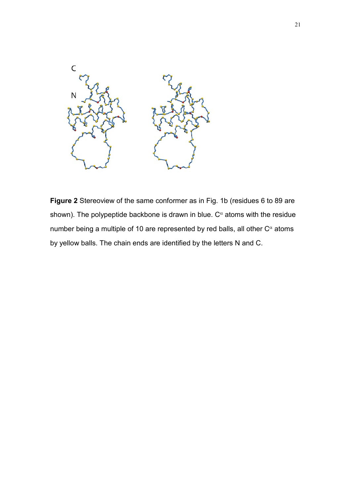

**Figure 2** Stereoview of the same conformer as in Fig. 1b (residues 6 to 89 are shown). The polypeptide backbone is drawn in blue.  $C^{\alpha}$  atoms with the residue number being a multiple of 10 are represented by red balls, all other  $C^{\alpha}$  atoms by yellow balls. The chain ends are identified by the letters N and C.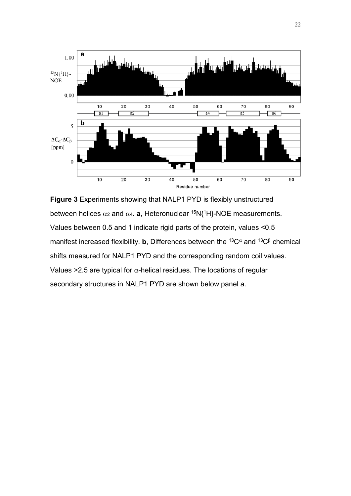

**Figure 3** Experiments showing that NALP1 PYD is flexibly unstructured between helices  $\alpha_2$  and  $\alpha_4$ . **a**, Heteronuclear <sup>15</sup>N{<sup>1</sup>H}-NOE measurements. Values between 0.5 and 1 indicate rigid parts of the protein, values <0.5 manifest increased flexibility. **b**, Differences between the <sup>13</sup>C<sup> $\alpha$ </sup> and <sup>13</sup>C<sup>β</sup> chemical shifts measured for NALP1 PYD and the corresponding random coil values. Values > 2.5 are typical for  $\alpha$ -helical residues. The locations of regular secondary structures in NALP1 PYD are shown below panel a.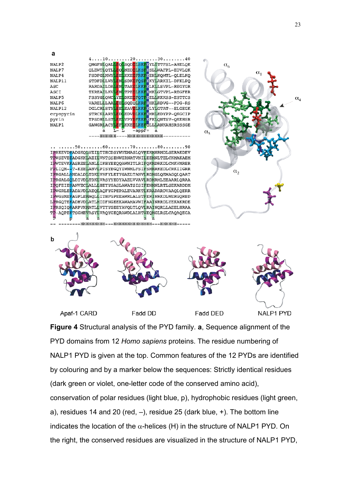

Apaf-1 CARD

Fadd DD

Fadd DED

NALP1 PYD

**Figure 4** Structural analysis of the PYD family. **a**, Sequence alignment of the PYD domains from 12 *Homo sapiens* proteins. The residue numbering of NALP1 PYD is given at the top. Common features of the 12 PYDs are identified by colouring and by a marker below the sequences: Strictly identical residues (dark green or violet, one-letter code of the conserved amino acid), conservation of polar residues (light blue, p), hydrophobic residues (light green, a), residues 14 and 20 (red,  $-$ ), residue 25 (dark blue,  $+$ ). The bottom line indicates the location of the  $\alpha$ -helices (H) in the structure of NALP1 PYD. On the right, the conserved residues are visualized in the structure of NALP1 PYD,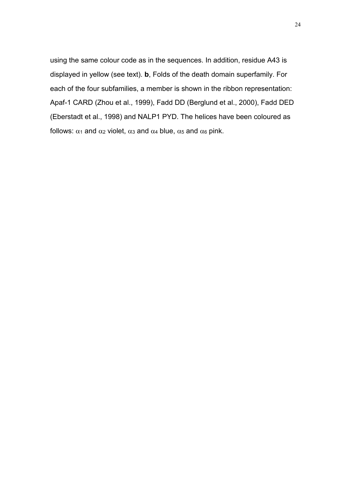using the same colour code as in the sequences. In addition, residue A43 is displayed in yellow (see text). **b**, Folds of the death domain superfamily. For each of the four subfamilies, a member is shown in the ribbon representation: Apaf-1 CARD (Zhou et al., 1999), Fadd DD (Berglund et al., 2000), Fadd DED (Eberstadt et al., 1998) and NALP1 PYD. The helices have been coloured as follows:  $\alpha_1$  and  $\alpha_2$  violet,  $\alpha_3$  and  $\alpha_4$  blue,  $\alpha_5$  and  $\alpha_6$  pink.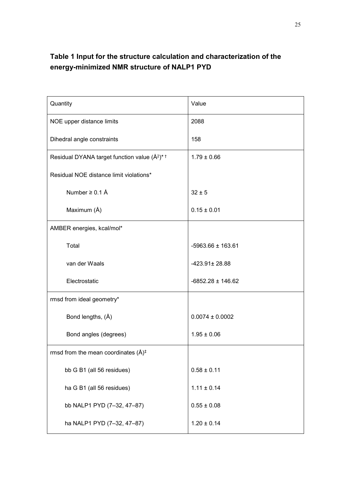# **Table 1 Input for the structure calculation and characterization of the energy-minimized NMR structure of NALP1 PYD**

| Quantity                                                      | Value                 |
|---------------------------------------------------------------|-----------------------|
| NOE upper distance limits                                     | 2088                  |
| Dihedral angle constraints                                    | 158                   |
| Residual DYANA target function value $(\AA^2)^*$ <sup>+</sup> | $1.79 \pm 0.66$       |
| Residual NOE distance limit violations*                       |                       |
| Number $\geq$ 0.1 Å                                           | $32 \pm 5$            |
| Maximum (Å)                                                   | $0.15 \pm 0.01$       |
| AMBER energies, kcal/mol*                                     |                       |
| Total                                                         | $-5963.66 \pm 163.61$ |
| van der Waals                                                 | $-423.91 \pm 28.88$   |
| Electrostatic                                                 | $-6852.28 \pm 146.62$ |
| rmsd from ideal geometry*                                     |                       |
| Bond lengths, (Å)                                             | $0.0074 \pm 0.0002$   |
| Bond angles (degrees)                                         | $1.95 \pm 0.06$       |
| rmsd from the mean coordinates $(A)^{\ddagger}$               |                       |
| bb G B1 (all 56 residues)                                     | $0.58 \pm 0.11$       |
| ha G B1 (all 56 residues)                                     | $1.11 \pm 0.14$       |
| bb NALP1 PYD (7-32, 47-87)                                    | $0.55 \pm 0.08$       |
| ha NALP1 PYD (7-32, 47-87)                                    | $1.20 \pm 0.14$       |